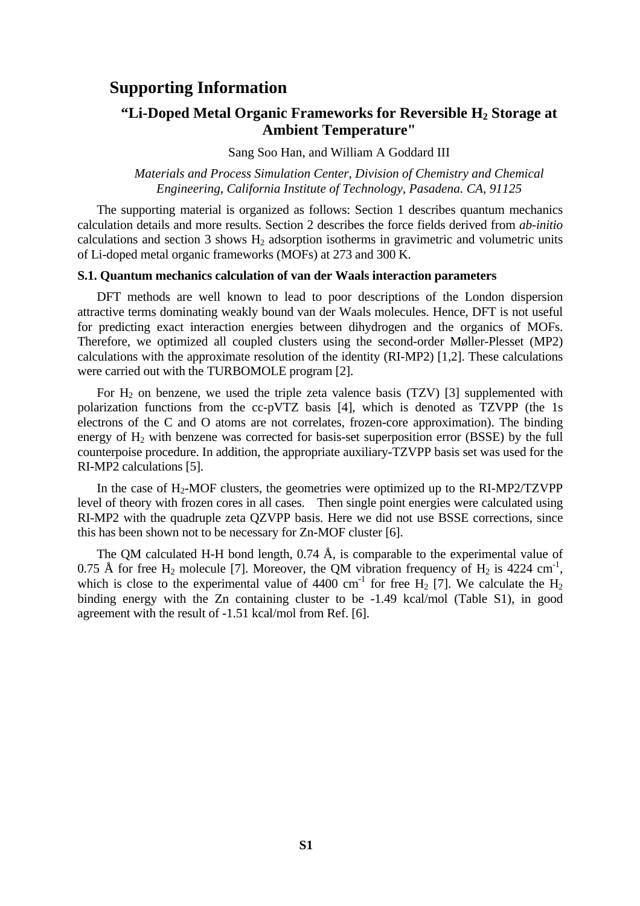# **Supporting Information**

## **"Li-Doped Metal Organic Frameworks for Reversible H<sub>2</sub> Storage at Ambient Temperature"**

Sang Soo Han, and William A Goddard III

*Materials and Process Simulation Center, Division of Chemistry and Chemical Engineering, California Institute of Technology, Pasadena. CA, 91125* 

The supporting material is organized as follows: Section 1 describes quantum mechanics calculation details and more results. Section 2 describes the force fields derived from *ab-initio* calculations and section 3 shows  $H_2$  adsorption isotherms in gravimetric and volumetric units of Li-doped metal organic frameworks (MOFs) at 273 and 300 K.

## **S.1. Quantum mechanics calculation of van der Waals interaction parameters**

DFT methods are well known to lead to poor descriptions of the London dispersion attractive terms dominating weakly bound van der Waals molecules. Hence, DFT is not useful for predicting exact interaction energies between dihydrogen and the organics of MOFs. Therefore, we optimized all coupled clusters using the second-order Møller-Plesset (MP2) calculations with the approximate resolution of the identity (RI-MP2) [1,2]. These calculations were carried out with the TURBOMOLE program [2].

For  $H_2$  on benzene, we used the triple zeta valence basis (TZV) [3] supplemented with polarization functions from the cc-pVTZ basis [4], which is denoted as TZVPP (the 1s electrons of the C and O atoms are not correlates, frozen-core approximation). The binding energy of  $H_2$  with benzene was corrected for basis-set superposition error (BSSE) by the full counterpoise procedure. In addition, the appropriate auxiliary-TZVPP basis set was used for the RI-MP2 calculations [5].

In the case of  $H_2$ -MOF clusters, the geometries were optimized up to the RI-MP2/TZVPP level of theory with frozen cores in all cases. Then single point energies were calculated using RI-MP2 with the quadruple zeta QZVPP basis. Here we did not use BSSE corrections, since this has been shown not to be necessary for Zn-MOF cluster [6].

The QM calculated H-H bond length,  $0.74 \text{ Å}$ , is comparable to the experimental value of 0.75 Å for free  $H_2$  molecule [7]. Moreover, the QM vibration frequency of  $H_2$  is 4224 cm<sup>-1</sup>, which is close to the experimental value of  $4400 \text{ cm}^{-1}$  for free H<sub>2</sub> [7]. We calculate the H<sub>2</sub> binding energy with the Zn containing cluster to be -1.49 kcal/mol (Table S1), in good agreement with the result of -1.51 kcal/mol from Ref. [6].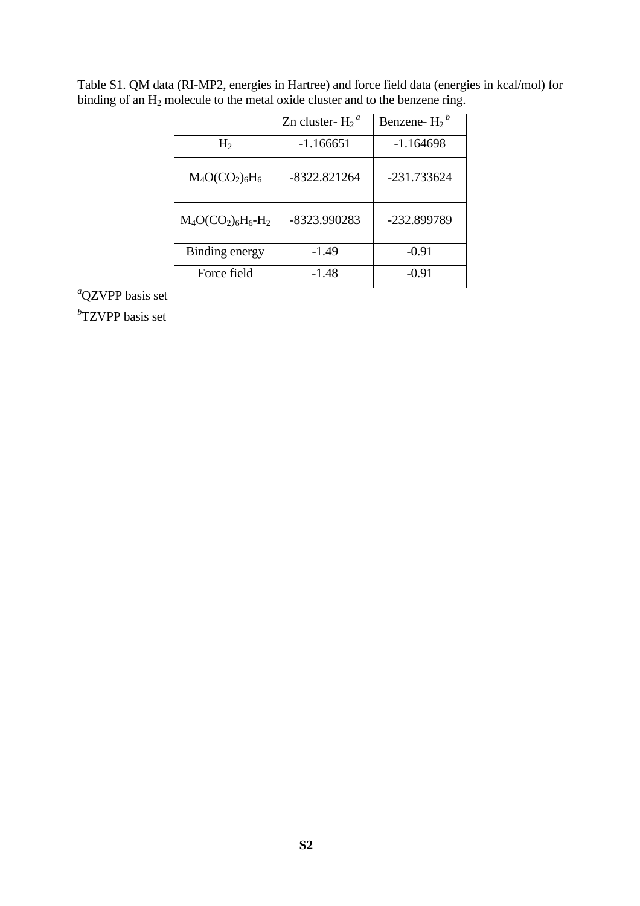|                       | Zn cluster- $H_2^a$ | Benzene- $H_2^b$ |
|-----------------------|---------------------|------------------|
| $H_2$                 | -1.166651           | $-1.164698$      |
| $M_4O(CO_2)_6H_6$     | -8322.821264        | -231.733624      |
| $M_4O(CO_2)_6H_6-H_2$ | -8323.990283        | -232.899789      |
| Binding energy        | $-1.49$             | $-0.91$          |
| Force field           | -1.48               | $-0.91$          |

Table S1. QM data (RI-MP2, energies in Hartree) and force field data (energies in kcal/mol) for binding of an  $H_2$  molecule to the metal oxide cluster and to the benzene ring.

*a* QZVPP basis set

*b* TZVPP basis set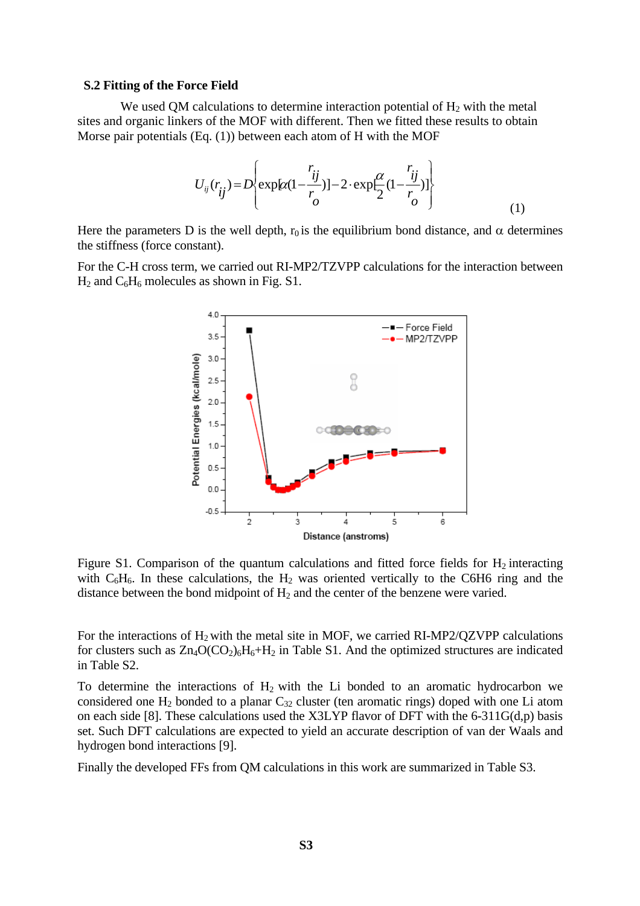## **S.2 Fitting of the Force Field**

We used QM calculations to determine interaction potential of  $H_2$  with the metal sites and organic linkers of the MOF with different. Then we fitted these results to obtain Morse pair potentials (Eq. (1)) between each atom of H with the MOF

$$
U_{ij}(r_{ij}) = D \left\{ \exp\left[\alpha (1 - \frac{r_{ij}}{r})\right] - 2 \cdot \exp\left[\frac{\alpha}{2} (1 - \frac{r_{ij}}{r})\right] \right\}
$$
(1)

Here the parameters D is the well depth,  $r_0$  is the equilibrium bond distance, and  $\alpha$  determines the stiffness (force constant).

For the C-H cross term, we carried out RI-MP2/TZVPP calculations for the interaction between  $H_2$  and  $C_6H_6$  molecules as shown in Fig. S1.



Figure S1. Comparison of the quantum calculations and fitted force fields for  $H_2$  interacting with  $C_6H_6$ . In these calculations, the  $H_2$  was oriented vertically to the C6H6 ring and the distance between the bond midpoint of  $H_2$  and the center of the benzene were varied.

For the interactions of  $H_2$  with the metal site in MOF, we carried RI-MP2/QZVPP calculations for clusters such as  $Zn_4O(CO_2)_6H_6+H_2$  in Table S1. And the optimized structures are indicated in Table S2.

To determine the interactions of  $H_2$  with the Li bonded to an aromatic hydrocarbon we considered one  $H_2$  bonded to a planar  $C_{32}$  cluster (ten aromatic rings) doped with one Li atom on each side [8]. These calculations used the X3LYP flavor of DFT with the 6-311G(d,p) basis set. Such DFT calculations are expected to yield an accurate description of van der Waals and hydrogen bond interactions [9].

Finally the developed FFs from QM calculations in this work are summarized in Table S3.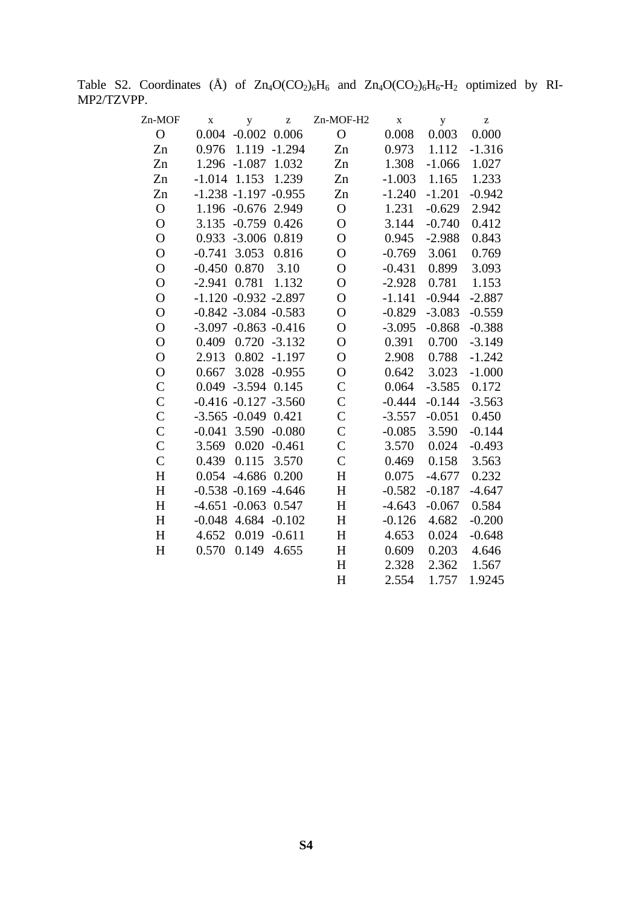Table S2. Coordinates  $(\AA)$  of  $Zn_4O(CO_2)_6H_6$  and  $Zn_4O(CO_2)_6H_6-H_2$  optimized by RI-MP2/TZVPP.

| Zn-MOF         | $\mathbf X$    | y                        | $\mathbf{Z}% ^{T}=\mathbf{Z}^{T}\times\mathbf{Z}^{T}$ | Zn-MOF-H2      | $\mathbf X$ | y        | z        |
|----------------|----------------|--------------------------|-------------------------------------------------------|----------------|-------------|----------|----------|
| $\mathbf{O}$   | 0.004          | $-0.002$ $0.006$         |                                                       | $\mathbf{O}$   | 0.008       | 0.003    | 0.000    |
| Zn             | 0.976          | 1.119                    | $-1.294$                                              | Zn             | 0.973       | 1.112    | $-1.316$ |
| Zn             |                | 1.296 -1.087 1.032       |                                                       | Zn             | 1.308       | $-1.066$ | 1.027    |
| Zn             | $-1.014$       | 1.153                    | 1.239                                                 | Zn             | $-1.003$    | 1.165    | 1.233    |
| Zn             |                | $-1.238 - 1.197 - 0.955$ |                                                       | Zn             | $-1.240$    | $-1.201$ | $-0.942$ |
| $\mathbf O$    |                | 1.196 -0.676 2.949       |                                                       | $\mathbf{O}$   | 1.231       | $-0.629$ | 2.942    |
| $\mathbf O$    | 3.135          | $-0.759$                 | 0.426                                                 | $\mathbf{O}$   | 3.144       | $-0.740$ | 0.412    |
| $\overline{O}$ |                | 0.933 -3.006 0.819       |                                                       | $\overline{O}$ | 0.945       | $-2.988$ | 0.843    |
| $\overline{O}$ | $-0.741$       | 3.053                    | 0.816                                                 | $\overline{O}$ | $-0.769$    | 3.061    | 0.769    |
| $\overline{O}$ |                | $-0.450$ $0.870$         | 3.10                                                  | $\overline{O}$ | $-0.431$    | 0.899    | 3.093    |
| $\overline{O}$ | $-2.941$ 0.781 |                          | 1.132                                                 | $\overline{O}$ | $-2.928$    | 0.781    | 1.153    |
| $\overline{O}$ |                | $-1.120 -0.932 -2.897$   |                                                       | $\mathbf{O}$   | $-1.141$    | $-0.944$ | $-2.887$ |
| $\mathbf O$    |                | $-0.842 -3.084 -0.583$   |                                                       | $\overline{O}$ | $-0.829$    | $-3.083$ | $-0.559$ |
| $\overline{O}$ |                | $-3.097 - 0.863 - 0.416$ |                                                       | $\overline{O}$ | $-3.095$    | $-0.868$ | $-0.388$ |
| $\overline{O}$ | 0.409          |                          | $0.720 - 3.132$                                       | $\overline{O}$ | 0.391       | 0.700    | $-3.149$ |
| $\overline{O}$ | 2.913          | 0.802                    | $-1.197$                                              | $\overline{O}$ | 2.908       | 0.788    | $-1.242$ |
| $\overline{O}$ | 0.667          |                          | 3.028 -0.955                                          | $\overline{O}$ | 0.642       | 3.023    | $-1.000$ |
| $\mathcal{C}$  |                | 0.049 -3.594 0.145       |                                                       | $\mathcal{C}$  | 0.064       | $-3.585$ | 0.172    |
| $\mathsf{C}$   |                | $-0.416 - 0.127 - 3.560$ |                                                       | $\overline{C}$ | $-0.444$    | $-0.144$ | $-3.563$ |
| $\mathbf C$    |                | $-3.565 -0.049$ 0.421    |                                                       | $\mathsf{C}$   | $-3.557$    | $-0.051$ | 0.450    |
| $\mathsf{C}$   | $-0.041$       | 3.590                    | $-0.080$                                              | $\overline{C}$ | $-0.085$    | 3.590    | $-0.144$ |
| $\mathsf{C}$   | 3.569          | 0.020                    | $-0.461$                                              | $\mathcal{C}$  | 3.570       | 0.024    | $-0.493$ |
| $\mathsf{C}$   | 0.439          | 0.115                    | 3.570                                                 | $\overline{C}$ | 0.469       | 0.158    | 3.563    |
| H              | 0.054          | $-4.686$                 | 0.200                                                 | H              | 0.075       | $-4.677$ | 0.232    |
| H              |                | $-0.538 - 0.169 - 4.646$ |                                                       | $H_{\rm}$      | $-0.582$    | $-0.187$ | $-4.647$ |
| H              |                | $-4.651 - 0.063$ 0.547   |                                                       | H              | $-4.643$    | $-0.067$ | 0.584    |
| H              | $-0.048$       | 4.684                    | $-0.102$                                              | H              | $-0.126$    | 4.682    | $-0.200$ |
| H              | 4.652          | 0.019                    | $-0.611$                                              | H              | 4.653       | 0.024    | $-0.648$ |
| H              | 0.570          | 0.149                    | 4.655                                                 | H              | 0.609       | 0.203    | 4.646    |
|                |                |                          |                                                       | H              | 2.328       | 2.362    | 1.567    |
|                |                |                          |                                                       | H              | 2.554       | 1.757    | 1.9245   |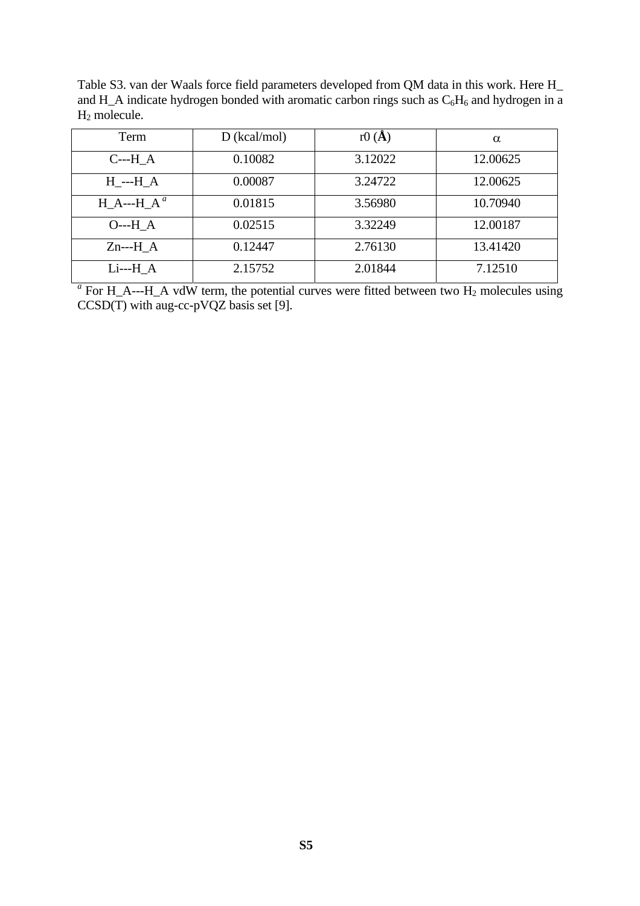Table S3. van der Waals force field parameters developed from QM data in this work. Here H\_ and H\_A indicate hydrogen bonded with aromatic carbon rings such as  $C_6H_6$  and hydrogen in a H2 molecule.

| Term                     | $D$ (kcal/mol) | r $0(A)$ | $\alpha$ |
|--------------------------|----------------|----------|----------|
| $C$ ---H $A$             | 0.10082        | 3.12022  | 12.00625 |
| $H$ <sub>---</sub> $H_A$ | 0.00087        | 3.24722  | 12.00625 |
| $H_A$ --- $H_A^a$        | 0.01815        | 3.56980  | 10.70940 |
| $O--H A$                 | 0.02515        | 3.32249  | 12.00187 |
| $Zn--H A$                | 0.12447        | 2.76130  | 13.41420 |
| $Li--H A$                | 2.15752        | 2.01844  | 7.12510  |

 $a<sup>a</sup>$  For H\_A---H\_A vdW term, the potential curves were fitted between two H<sub>2</sub> molecules using  $CCSD(T)$  with aug-cc-pVQZ basis set [9].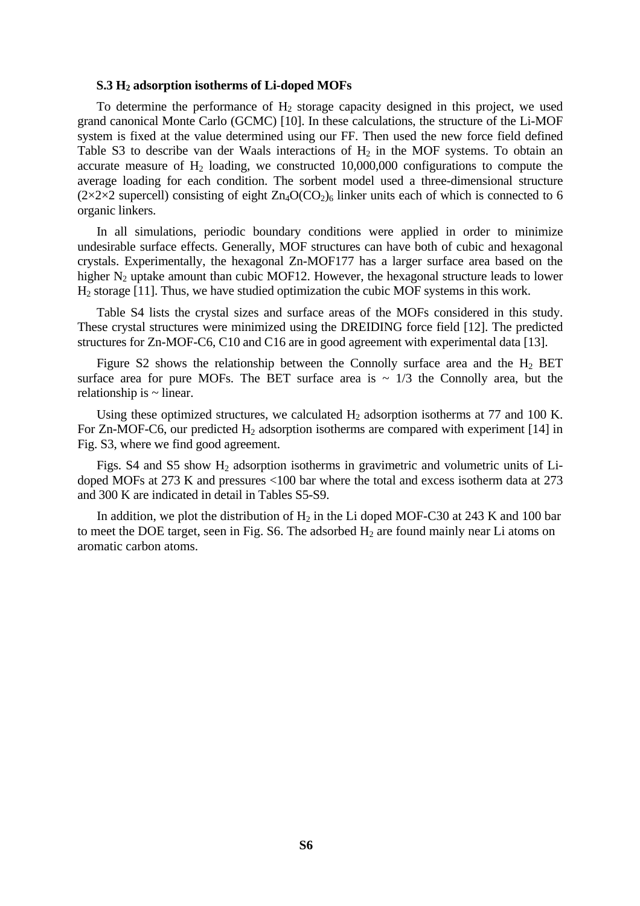#### **S.3 H2 adsorption isotherms of Li-doped MOFs**

To determine the performance of  $H_2$  storage capacity designed in this project, we used grand canonical Monte Carlo (GCMC) [10]. In these calculations, the structure of the Li-MOF system is fixed at the value determined using our FF. Then used the new force field defined Table S3 to describe van der Waals interactions of  $H_2$  in the MOF systems. To obtain an accurate measure of  $H_2$  loading, we constructed 10,000,000 configurations to compute the average loading for each condition. The sorbent model used a three-dimensional structure  $(2\times2\times2$  supercell) consisting of eight  $Zn_4O(CO_2)_6$  linker units each of which is connected to 6 organic linkers.

In all simulations, periodic boundary conditions were applied in order to minimize undesirable surface effects. Generally, MOF structures can have both of cubic and hexagonal crystals. Experimentally, the hexagonal Zn-MOF177 has a larger surface area based on the higher  $N_2$  uptake amount than cubic MOF12. However, the hexagonal structure leads to lower H2 storage [11]. Thus, we have studied optimization the cubic MOF systems in this work.

Table S4 lists the crystal sizes and surface areas of the MOFs considered in this study. These crystal structures were minimized using the DREIDING force field [12]. The predicted structures for Zn-MOF-C6, C10 and C16 are in good agreement with experimental data [13].

Figure S2 shows the relationship between the Connolly surface area and the  $H_2$  BET surface area for pure MOFs. The BET surface area is  $\sim 1/3$  the Connolly area, but the relationship is  $\sim$  linear.

Using these optimized structures, we calculated  $H_2$  adsorption isotherms at 77 and 100 K. For Zn-MOF-C6, our predicted  $H_2$  adsorption isotherms are compared with experiment [14] in Fig. S3, where we find good agreement.

Figs. S4 and S5 show  $H_2$  adsorption isotherms in gravimetric and volumetric units of Lidoped MOFs at 273 K and pressures <100 bar where the total and excess isotherm data at 273 and 300 K are indicated in detail in Tables S5-S9.

In addition, we plot the distribution of  $H_2$  in the Li doped MOF-C30 at 243 K and 100 bar to meet the DOE target, seen in Fig. S6. The adsorbed  $H_2$  are found mainly near Li atoms on aromatic carbon atoms.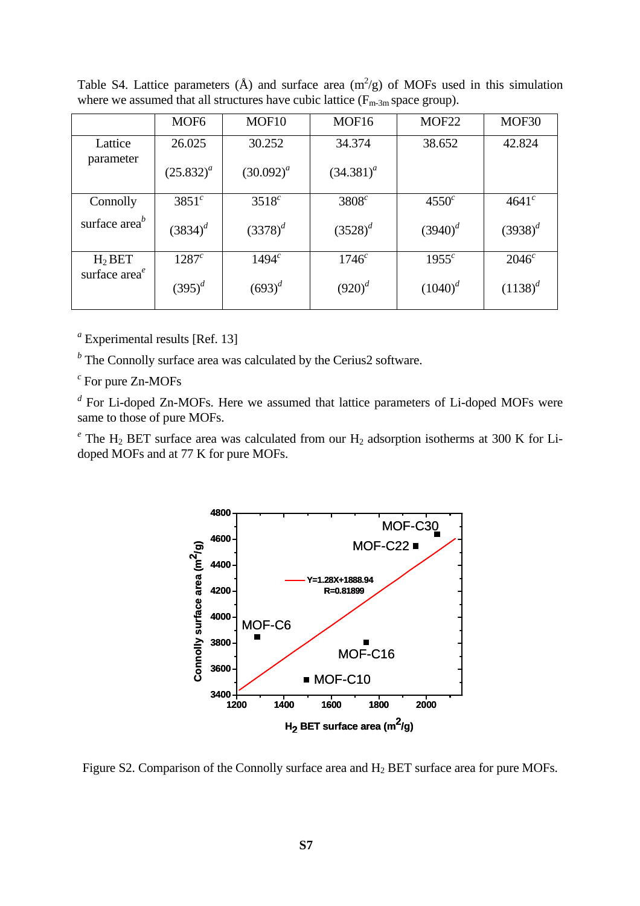|                 | MOF <sub>6</sub> | MOF <sub>10</sub> | MOF <sub>16</sub> | MOF <sub>22</sub> | MOF30        |
|-----------------|------------------|-------------------|-------------------|-------------------|--------------|
| Lattice         | 26.025           | 30.252            | 34.374            | 38.652            | 42.824       |
| parameter       | $(25.832)^{a}$   | $(30.092)^{a}$    | $(34.381)^{a}$    |                   |              |
| Connolly        | $3851^c$         | $3518^c$          | $3808^c$          | $4550^c$          | $4641^{c}$   |
| surface $areab$ | $(3834)^d$       | $(3378)^{d}$      | $(3528)^{d}$      | $(3940)^{d}$      | $(3938)^{d}$ |
| $H_2$ BET       | $1287^c$         | 1494 <sup>c</sup> | 1746 <sup>c</sup> | $1955^c$          | $2046^c$     |
| surface $areae$ | $(395)^{d}$      | $(693)^{d}$       | $(920)^{d}$       | $(1040)^{d}$      | $(1138)^{d}$ |

Table S4. Lattice parameters ( $\AA$ ) and surface area (m<sup>2</sup>/g) of MOFs used in this simulation where we assumed that all structures have cubic lattice  $(F_{m-3m}$  space group).

*<sup>a</sup>* Experimental results [Ref. 13]

*<sup>b</sup>* The Connolly surface area was calculated by the Cerius2 software.

*<sup>c</sup>* For pure Zn-MOFs

*<sup>d</sup>* For Li-doped Zn-MOFs. Here we assumed that lattice parameters of Li-doped MOFs were same to those of pure MOFs.

<sup>e</sup> The H<sub>2</sub> BET surface area was calculated from our H<sub>2</sub> adsorption isotherms at 300 K for Lidoped MOFs and at 77 K for pure MOFs.



Figure S2. Comparison of the Connolly surface area and H2 BET surface area for pure MOFs.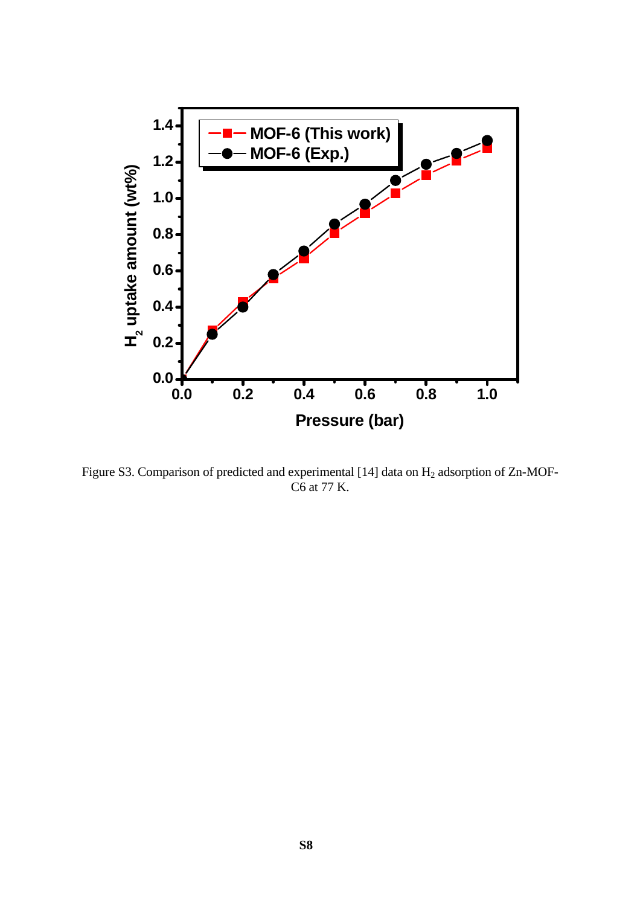

Figure S3. Comparison of predicted and experimental [14] data on H<sub>2</sub> adsorption of Zn-MOF-C6 at 77 K.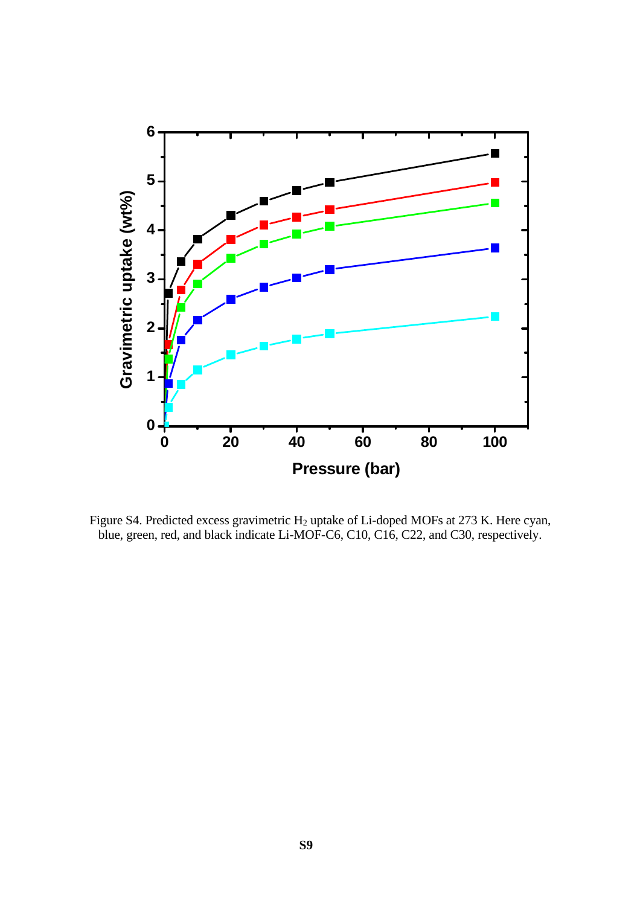

Figure S4. Predicted excess gravimetric H<sub>2</sub> uptake of Li-doped MOFs at 273 K. Here cyan, blue, green, red, and black indicate Li-MOF-C6, C10, C16, C22, and C30, respectively.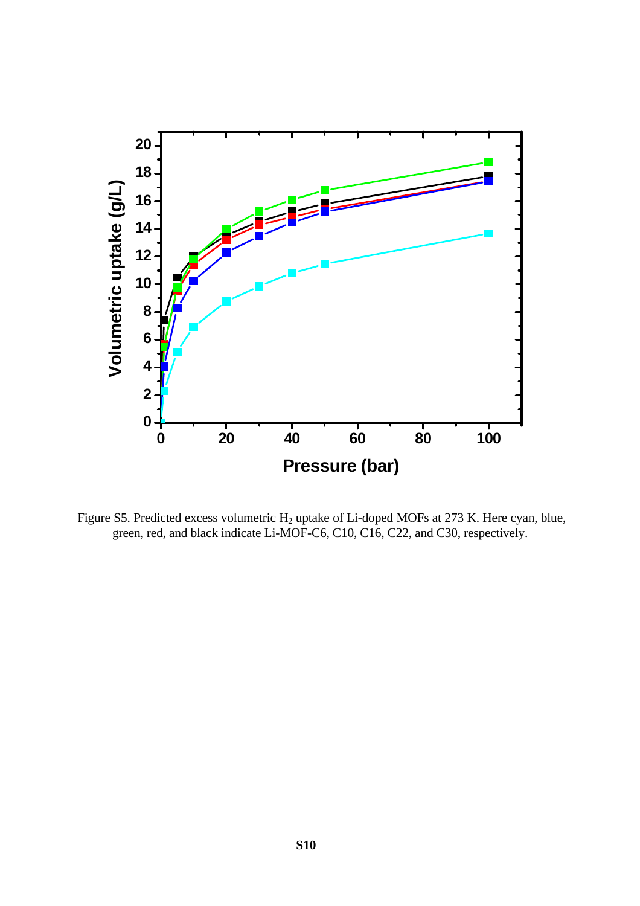

Figure S5. Predicted excess volumetric H<sub>2</sub> uptake of Li-doped MOFs at 273 K. Here cyan, blue, green, red, and black indicate Li-MOF-C6, C10, C16, C22, and C30, respectively.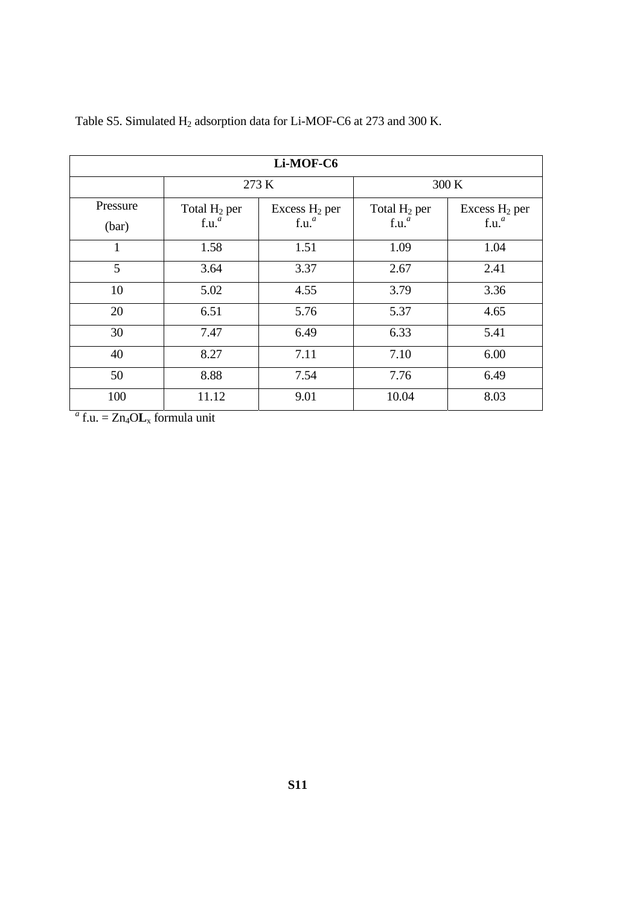| Li-MOF-C6 |                   |                   |                   |                           |  |
|-----------|-------------------|-------------------|-------------------|---------------------------|--|
|           |                   | 273 K             |                   | 300 K                     |  |
| Pressure  | Total $H_2$ per   | Excess $H_2$ per  | Total $H_2$ per   | Excess H <sub>2</sub> per |  |
| (bar)     | f.u. <sup>a</sup> | f.u. <sup>a</sup> | f.u. <sup>a</sup> | f.u. <sup>a</sup>         |  |
| 1         | 1.58              | 1.51              | 1.09              | 1.04                      |  |
| 5         | 3.64              | 3.37              | 2.67              | 2.41                      |  |
| 10        | 5.02              | 4.55              | 3.79              | 3.36                      |  |
| 20        | 6.51              | 5.76              | 5.37              | 4.65                      |  |
| 30        | 7.47              | 6.49              | 6.33              | 5.41                      |  |
| 40        | 8.27              | 7.11              | 7.10              | 6.00                      |  |
| 50        | 8.88              | 7.54              | 7.76              | 6.49                      |  |
| 100       | 11.12             | 9.01              | 10.04             | 8.03                      |  |

Table S5. Simulated H<sub>2</sub> adsorption data for Li-MOF-C6 at 273 and 300 K.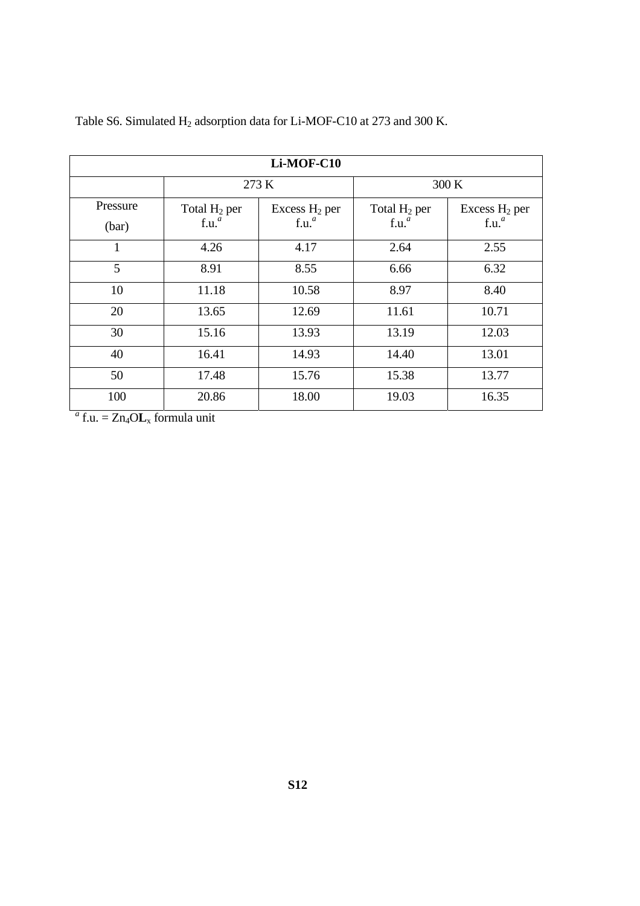| Li-MOF-C10 |                   |                   |                   |                   |  |
|------------|-------------------|-------------------|-------------------|-------------------|--|
|            |                   | 273 K             |                   | 300 K             |  |
| Pressure   | Total $H_2$ per   | Excess $H_2$ per  | Total $H_2$ per   | Excess $H_2$ per  |  |
| (bar)      | f.u. <sup>a</sup> | f.u. <sup>a</sup> | f.u. <sup>a</sup> | f.u. <sup>a</sup> |  |
| 1          | 4.26              | 4.17              | 2.64              | 2.55              |  |
| 5          | 8.91              | 8.55              | 6.66              | 6.32              |  |
| 10         | 11.18             | 10.58             | 8.97              | 8.40              |  |
| 20         | 13.65             | 12.69             | 11.61             | 10.71             |  |
| 30         | 15.16             | 13.93             | 13.19             | 12.03             |  |
| 40         | 16.41             | 14.93             | 14.40             | 13.01             |  |
| 50         | 17.48             | 15.76             | 15.38             | 13.77             |  |
| 100        | 20.86             | 18.00             | 19.03             | 16.35             |  |

Table S6. Simulated H<sub>2</sub> adsorption data for Li-MOF-C10 at 273 and 300 K.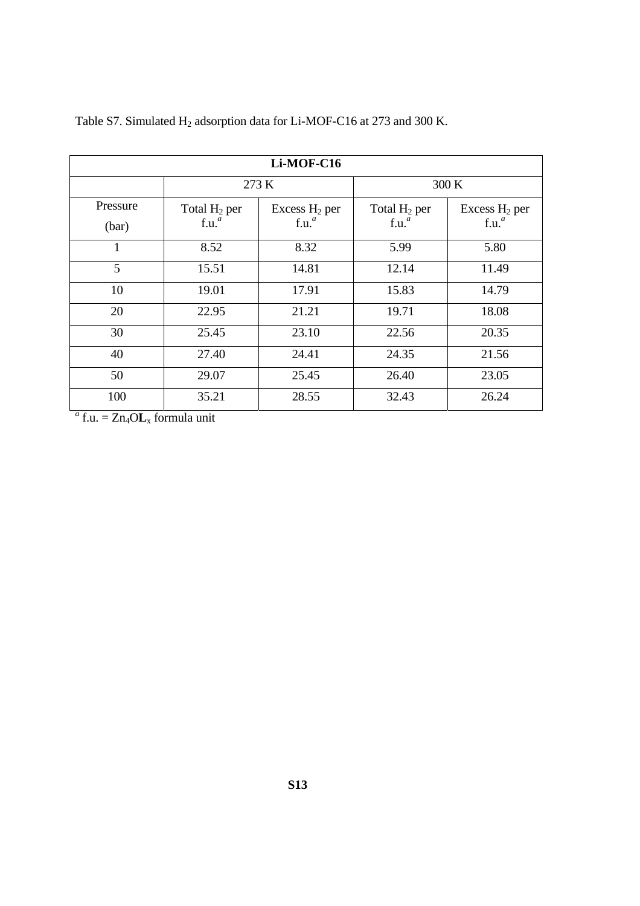| Li-MOF-C16 |                   |                   |                   |                   |  |
|------------|-------------------|-------------------|-------------------|-------------------|--|
|            |                   | 273 K             |                   | 300 K             |  |
| Pressure   | Total $H_2$ per   | Excess $H_2$ per  | Total $H_2$ per   | Excess $H_2$ per  |  |
| (bar)      | f.u. <sup>a</sup> | f.u. <sup>a</sup> | f.u. <sup>a</sup> | f.u. <sup>a</sup> |  |
| 1          | 8.52              | 8.32              | 5.99              | 5.80              |  |
| 5          | 15.51             | 14.81             | 12.14             | 11.49             |  |
| 10         | 19.01             | 17.91             | 15.83             | 14.79             |  |
| 20         | 22.95             | 21.21             | 19.71             | 18.08             |  |
| 30         | 25.45             | 23.10             | 22.56             | 20.35             |  |
| 40         | 27.40             | 24.41             | 24.35             | 21.56             |  |
| 50         | 29.07             | 25.45             | 26.40             | 23.05             |  |
| 100        | 35.21             | 28.55             | 32.43             | 26.24             |  |

Table S7. Simulated H<sub>2</sub> adsorption data for Li-MOF-C16 at 273 and 300 K.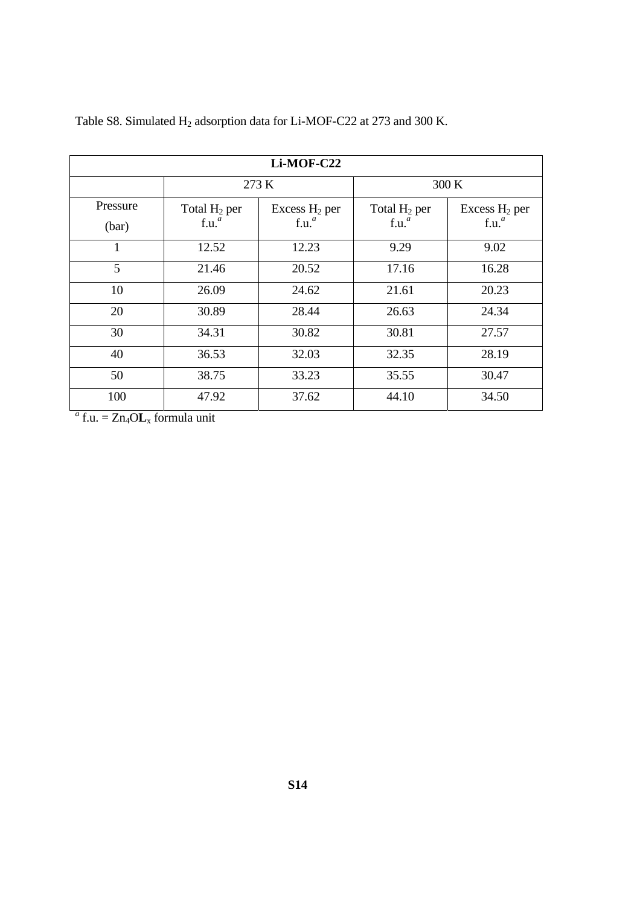| Li-MOF-C22 |                   |                   |                   |                   |  |
|------------|-------------------|-------------------|-------------------|-------------------|--|
|            |                   | 273 K             |                   | 300 K             |  |
| Pressure   | Total $H_2$ per   | Excess $H_2$ per  | Total $H_2$ per   | Excess $H_2$ per  |  |
| (bar)      | f.u. <sup>a</sup> | f.u. <sup>a</sup> | f.u. <sup>a</sup> | f.u. <sup>a</sup> |  |
| 1          | 12.52             | 12.23             | 9.29              | 9.02              |  |
| 5          | 21.46             | 20.52             | 17.16             | 16.28             |  |
| 10         | 26.09             | 24.62             | 21.61             | 20.23             |  |
| 20         | 30.89             | 28.44             | 26.63             | 24.34             |  |
| 30         | 34.31             | 30.82             | 30.81             | 27.57             |  |
| 40         | 36.53             | 32.03             | 32.35             | 28.19             |  |
| 50         | 38.75             | 33.23             | 35.55             | 30.47             |  |
| 100        | 47.92             | 37.62             | 44.10             | 34.50             |  |

Table S8. Simulated H<sub>2</sub> adsorption data for Li-MOF-C22 at 273 and 300 K.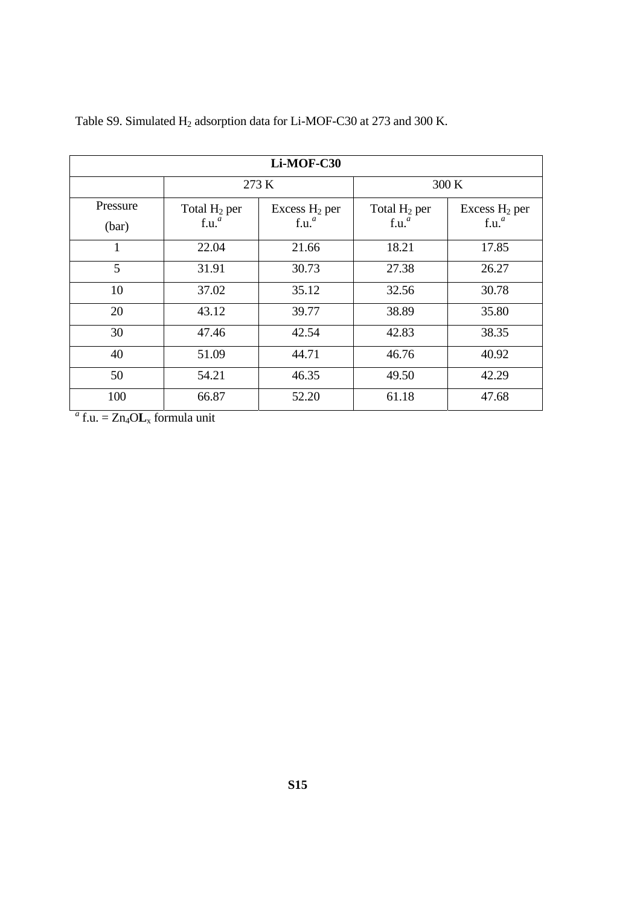| Li-MOF-C30 |                   |                   |                   |                   |  |
|------------|-------------------|-------------------|-------------------|-------------------|--|
|            |                   | 273 K             |                   | 300 K             |  |
| Pressure   | Total $H_2$ per   | Excess $H_2$ per  | Total $H_2$ per   | Excess $H_2$ per  |  |
| (bar)      | f.u. <sup>a</sup> | f.u. <sup>a</sup> | f.u. <sup>a</sup> | f.u. <sup>a</sup> |  |
| 1          | 22.04             | 21.66             | 18.21             | 17.85             |  |
| 5          | 31.91             | 30.73             | 27.38             | 26.27             |  |
| 10         | 37.02             | 35.12             | 32.56             | 30.78             |  |
| 20         | 43.12             | 39.77             | 38.89             | 35.80             |  |
| 30         | 47.46             | 42.54             | 42.83             | 38.35             |  |
| 40         | 51.09             | 44.71             | 46.76             | 40.92             |  |
| 50         | 54.21             | 46.35             | 49.50             | 42.29             |  |
| 100        | 66.87             | 52.20             | 61.18             | 47.68             |  |

Table S9. Simulated H<sub>2</sub> adsorption data for Li-MOF-C30 at 273 and 300 K.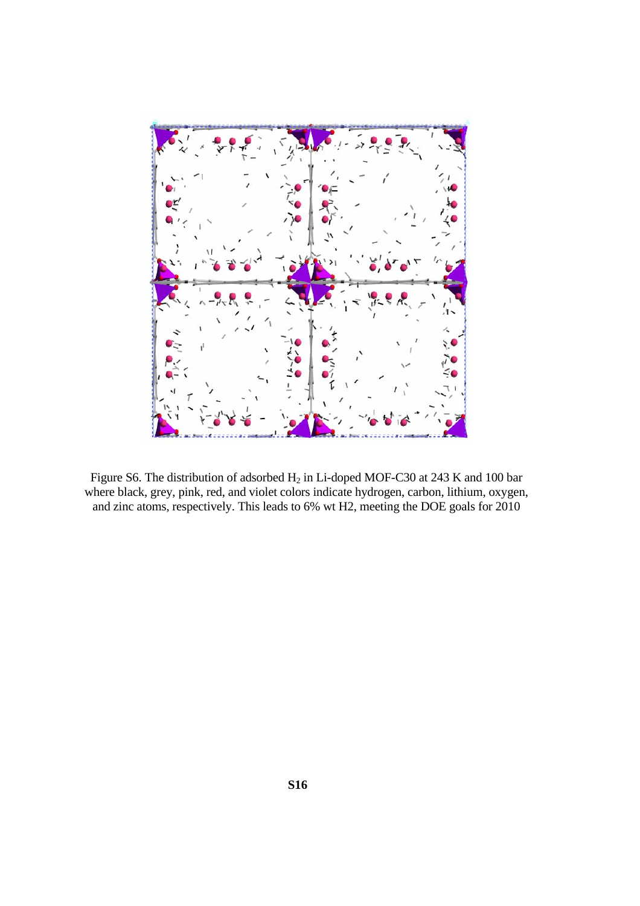

Figure S6. The distribution of adsorbed  $H_2$  in Li-doped MOF-C30 at 243 K and 100 bar where black, grey, pink, red, and violet colors indicate hydrogen, carbon, lithium, oxygen, and zinc atoms, respectively. This leads to 6% wt H2, meeting the DOE goals for 2010